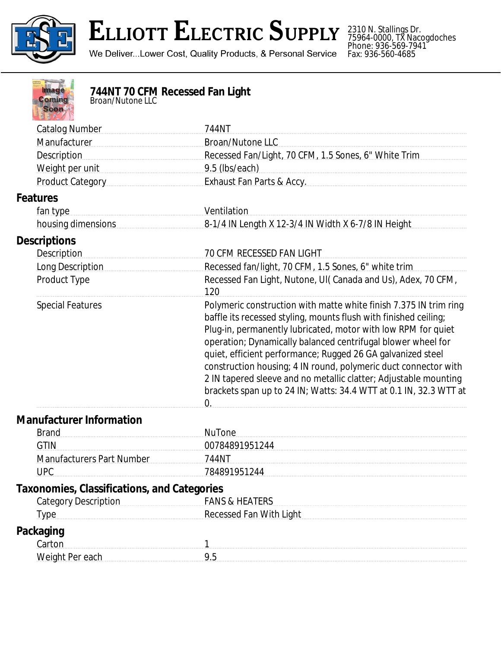

2310 N. Stallings Dr. 75964-0000, TX Nacogdoches Phone: 936-569-7941 Fax: 936-560-4685

| ۱F |  |
|----|--|
|    |  |
|    |  |

## **744NT 70 CFM Recessed Fan Light** *Broan/Nutone LLC*

| <b>Catalog Number</b>                              | 744NT                                                                                                                                                                                                                                                                                                                                                                                                                                                                                                                                                                 |
|----------------------------------------------------|-----------------------------------------------------------------------------------------------------------------------------------------------------------------------------------------------------------------------------------------------------------------------------------------------------------------------------------------------------------------------------------------------------------------------------------------------------------------------------------------------------------------------------------------------------------------------|
| Manufacturer                                       | <b>Broan/Nutone LLC</b>                                                                                                                                                                                                                                                                                                                                                                                                                                                                                                                                               |
| <b>Description</b>                                 | Recessed Fan/Light, 70 CFM, 1.5 Sones, 6" White Trim                                                                                                                                                                                                                                                                                                                                                                                                                                                                                                                  |
| Weight per unit                                    | 9.5 (lbs/each)                                                                                                                                                                                                                                                                                                                                                                                                                                                                                                                                                        |
| Product Category                                   | Exhaust Fan Parts & Accy.                                                                                                                                                                                                                                                                                                                                                                                                                                                                                                                                             |
| <b>Features</b>                                    |                                                                                                                                                                                                                                                                                                                                                                                                                                                                                                                                                                       |
| fan type                                           | Ventilation                                                                                                                                                                                                                                                                                                                                                                                                                                                                                                                                                           |
| housing dimensions                                 | 8-1/4 IN Length X 12-3/4 IN Width X 6-7/8 IN Height                                                                                                                                                                                                                                                                                                                                                                                                                                                                                                                   |
| <b>Descriptions</b>                                |                                                                                                                                                                                                                                                                                                                                                                                                                                                                                                                                                                       |
| Description                                        | <b>70 CFM RECESSED FAN LIGHT</b>                                                                                                                                                                                                                                                                                                                                                                                                                                                                                                                                      |
| Long Description                                   | Recessed fan/light, 70 CFM, 1.5 Sones, 6" white trim                                                                                                                                                                                                                                                                                                                                                                                                                                                                                                                  |
| Product Type                                       | Recessed Fan Light, Nutone, UI(Canada and Us), Adex, 70 CFM,<br>120                                                                                                                                                                                                                                                                                                                                                                                                                                                                                                   |
| <b>Special Features</b>                            | Polymeric construction with matte white finish 7.375 IN trim ring<br>baffle its recessed styling, mounts flush with finished ceiling;<br>Plug-in, permanently lubricated, motor with low RPM for quiet<br>operation; Dynamically balanced centrifugal blower wheel for<br>quiet, efficient performance; Rugged 26 GA galvanized steel<br>construction housing; 4 IN round, polymeric duct connector with<br>2 IN tapered sleeve and no metallic clatter; Adjustable mounting<br>brackets span up to 24 IN; Watts: 34.4 WTT at 0.1 IN, 32.3 WTT at<br>$\overline{0}$ . |
| <b>Manufacturer Information</b>                    |                                                                                                                                                                                                                                                                                                                                                                                                                                                                                                                                                                       |
| <b>Brand</b>                                       | <b>NuTone</b>                                                                                                                                                                                                                                                                                                                                                                                                                                                                                                                                                         |
| <b>GTIN</b>                                        | 00784891951244                                                                                                                                                                                                                                                                                                                                                                                                                                                                                                                                                        |
| <b>Manufacturers Part Number</b>                   | 744NT                                                                                                                                                                                                                                                                                                                                                                                                                                                                                                                                                                 |
| <b>UPC</b>                                         | 784891951244                                                                                                                                                                                                                                                                                                                                                                                                                                                                                                                                                          |
| <b>Taxonomies, Classifications, and Categories</b> |                                                                                                                                                                                                                                                                                                                                                                                                                                                                                                                                                                       |
| <b>Category Description</b>                        | <b>FANS &amp; HEATERS</b>                                                                                                                                                                                                                                                                                                                                                                                                                                                                                                                                             |
| <b>Type</b>                                        | <b>Recessed Fan With Light</b>                                                                                                                                                                                                                                                                                                                                                                                                                                                                                                                                        |
| <b>Packaging</b>                                   |                                                                                                                                                                                                                                                                                                                                                                                                                                                                                                                                                                       |
| Carton                                             |                                                                                                                                                                                                                                                                                                                                                                                                                                                                                                                                                                       |
| Weight Per each                                    | 9.5                                                                                                                                                                                                                                                                                                                                                                                                                                                                                                                                                                   |